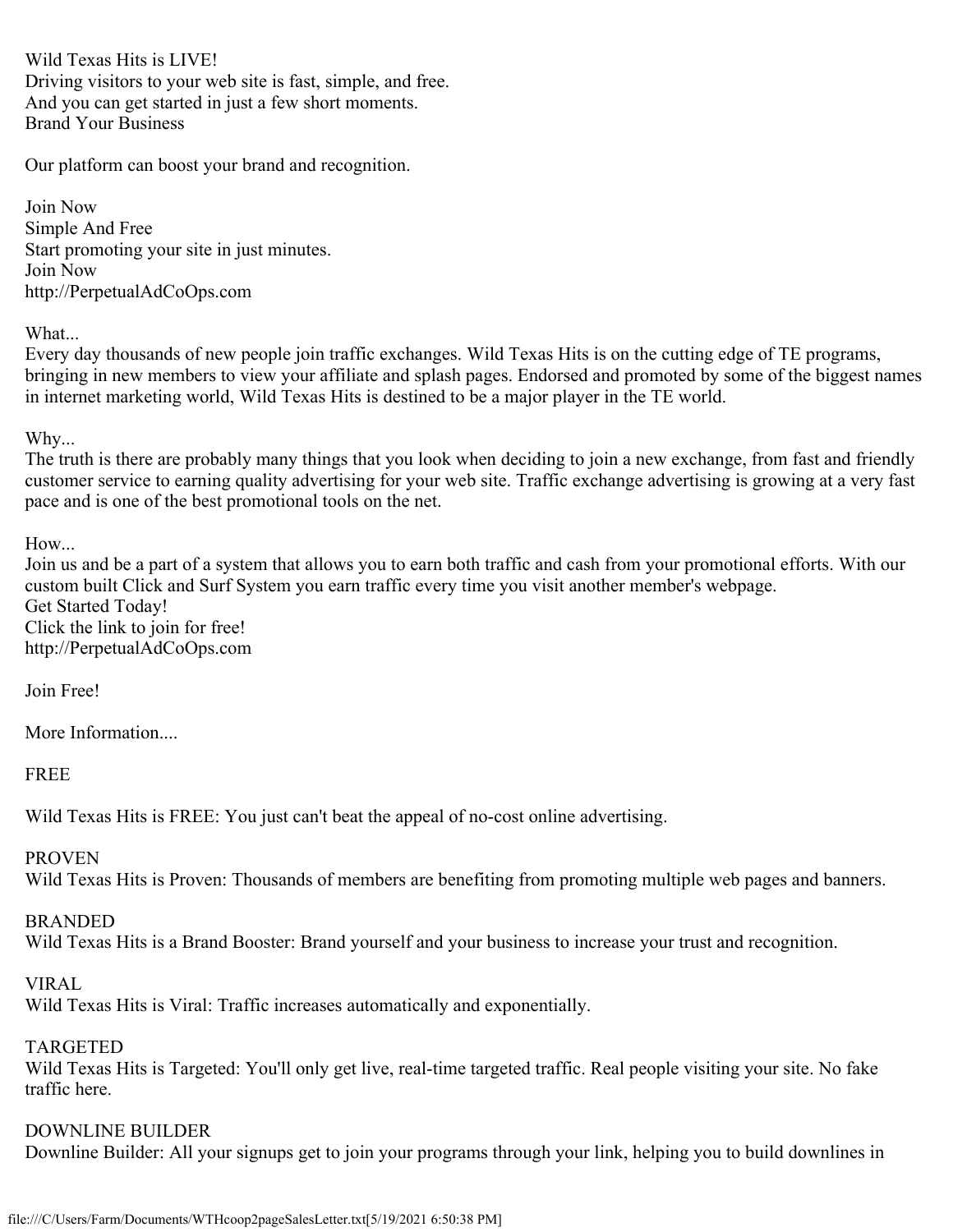Wild Texas Hits is LIVE! Driving visitors to your web site is fast, simple, and free. And you can get started in just a few short moments. Brand Your Business

Our platform can boost your brand and recognition.

Join Now Simple And Free Start promoting your site in just minutes. Join Now http://PerpetualAdCoOps.com

## What...

Every day thousands of new people join traffic exchanges. Wild Texas Hits is on the cutting edge of TE programs, bringing in new members to view your affiliate and splash pages. Endorsed and promoted by some of the biggest names in internet marketing world, Wild Texas Hits is destined to be a major player in the TE world.

## Why...

The truth is there are probably many things that you look when deciding to join a new exchange, from fast and friendly customer service to earning quality advertising for your web site. Traffic exchange advertising is growing at a very fast pace and is one of the best promotional tools on the net.

## How...

Join us and be a part of a system that allows you to earn both traffic and cash from your promotional efforts. With our custom built Click and Surf System you earn traffic every time you visit another member's webpage. Get Started Today! Click the link to join for free! http://PerpetualAdCoOps.com

Join Free!

More Information....

FREE

Wild Texas Hits is FREE: You just can't beat the appeal of no-cost online advertising.

### PROVEN

Wild Texas Hits is Proven: Thousands of members are benefiting from promoting multiple web pages and banners.

# BRANDED

Wild Texas Hits is a Brand Booster: Brand yourself and your business to increase your trust and recognition.

### VIRAL

Wild Texas Hits is Viral: Traffic increases automatically and exponentially.

# TARGETED

Wild Texas Hits is Targeted: You'll only get live, real-time targeted traffic. Real people visiting your site. No fake traffic here.

# DOWNLINE BUILDER

Downline Builder: All your signups get to join your programs through your link, helping you to build downlines in